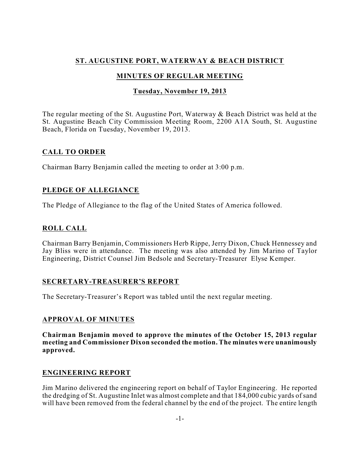# **ST. AUGUSTINE PORT, WATERWAY & BEACH DISTRICT**

# **MINUTES OF REGULAR MEETING**

## **Tuesday, November 19, 2013**

The regular meeting of the St. Augustine Port, Waterway & Beach District was held at the St. Augustine Beach City Commission Meeting Room, 2200 A1A South, St. Augustine Beach, Florida on Tuesday, November 19, 2013.

# **CALL TO ORDER**

Chairman Barry Benjamin called the meeting to order at 3:00 p.m.

## **PLEDGE OF ALLEGIANCE**

The Pledge of Allegiance to the flag of the United States of America followed.

## **ROLL CALL**

Chairman Barry Benjamin, Commissioners Herb Rippe, Jerry Dixon, Chuck Hennessey and Jay Bliss were in attendance. The meeting was also attended by Jim Marino of Taylor Engineering, District Counsel Jim Bedsole and Secretary-Treasurer Elyse Kemper.

## **SECRETARY-TREASURER'S REPORT**

The Secretary-Treasurer's Report was tabled until the next regular meeting.

## **APPROVAL OF MINUTES**

**Chairman Benjamin moved to approve the minutes of the October 15, 2013 regular meeting and Commissioner Dixon seconded the motion. The minutes were unanimously approved.**

## **ENGINEERING REPORT**

Jim Marino delivered the engineering report on behalf of Taylor Engineering. He reported the dredging of St. Augustine Inlet was almost complete and that 184,000 cubic yards of sand will have been removed from the federal channel by the end of the project. The entire length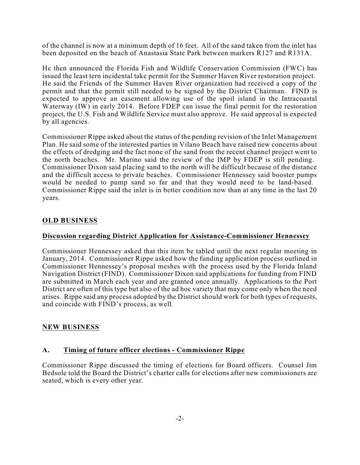of the channel is now at a minimum depth of 16 feet. All of the sand taken from the inlet has been deposited on the beach of Anastasia State Park between markers R127 and R131A.

He then announced the Florida Fish and Wildlife Conservation Commission (FWC) has issued the least tern incidental take permit for the Summer Haven River restoration project. He said the Friends of the Summer Haven River organization had received a copy of the permit and that the permit still needed to be signed by the District Chairman. FIND is expected to approve an easement allowing use of the spoil island in the Intracoastal Waterway (IW) in early 2014. Before FDEP can issue the final permit for the restoration project, the U.S. Fish and Wildlife Service must also approve. He said approval is expected by all agencies.

Commissioner Rippe asked about the status of the pending revision of the Inlet Management Plan. He said some of the interested parties in Vilano Beach have raised new concerns about the effects of dredging and the fact none of the sand from the recent channel project went to the north beaches. Mr. Marino said the review of the IMP by FDEP is still pending. Commissioner Dixon said placing sand to the north will be difficult because of the distance and the difficult access to private beaches. Commissioner Hennessey said booster pumps would be needed to pump sand so far and that they would need to be land-based. Commissioner Rippe said the inlet is in better condition now than at any time in the last 20 years.

### **OLD BUSINESS**

#### **Discussion regarding District Application for Assistance-Commissioner Hennessey**

Commissioner Hennessey asked that this item be tabled until the next regular meeting in January, 2014. Commissioner Rippe asked how the funding application process outlined in Commissioner Hennessey's proposal meshes with the process used by the Florida Inland Navigation District (FIND). Commissioner Dixon said applications for funding from FIND are submitted in March each year and are granted once annually. Applications to the Port District are often of this type but also of the ad hoc variety that may come only when the need arises. Rippe said any process adopted by the District should work for both types of requests, and coincide with FIND's process, as well.

### **NEW BUSINESS**

#### **A. Timing of future officer elections - Commissioner Rippe**

Commissioner Rippe discussed the timing of elections for Board officers. Counsel Jim Bedsole told the Board the District's charter calls for elections after new commissioners are seated, which is every other year.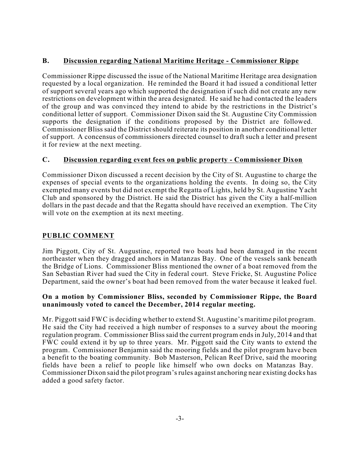## **B. Discussion regarding National Maritime Heritage - Commissioner Rippe**

Commissioner Rippe discussed the issue of the National Maritime Heritage area designation requested by a local organization. He reminded the Board it had issued a conditional letter of support several years ago which supported the designation if such did not create any new restrictions on development within the area designated. He said he had contacted the leaders of the group and was convinced they intend to abide by the restrictions in the District's conditional letter of support. Commissioner Dixon said the St. Augustine City Commission supports the designation if the conditions proposed by the District are followed. Commissioner Bliss said the District should reiterate its position in another conditional letter of support. A concensus of commissioners directed counsel to draft such a letter and present it for review at the next meeting.

## **C. Discussion regarding event fees on public property - Commissioner Dixon**

Commissioner Dixon discussed a recent decision by the City of St. Augustine to charge the expenses of special events to the organizations holding the events. In doing so, the City exempted many events but did not exempt the Regatta of Lights, held by St. Augustine Yacht Club and sponsored by the District. He said the District has given the City a half-million dollars in the past decade and that the Regatta should have received an exemption. The City will vote on the exemption at its next meeting.

## **PUBLIC COMMENT**

Jim Piggott, City of St. Augustine, reported two boats had been damaged in the recent northeaster when they dragged anchors in Matanzas Bay. One of the vessels sank beneath the Bridge of Lions. Commissioner Bliss mentioned the owner of a boat removed from the San Sebastian River had sued the City in federal court. Steve Fricke, St. Augustine Police Department, said the owner's boat had been removed from the water because it leaked fuel.

### **On a motion by Commissioner Bliss, seconded by Commissioner Rippe, the Board unanimously voted to cancel the December, 2014 regular meeting.**

Mr. Piggott said FWC is deciding whether to extend St. Augustine's maritime pilot program. He said the City had received a high number of responses to a survey about the mooring regulation program. Commissioner Bliss said the current program endsin July, 2014 and that FWC could extend it by up to three years. Mr. Piggott said the City wants to extend the program. Commissioner Benjamin said the mooring fields and the pilot program have been a benefit to the boating community. Bob Masterson, Pelican Reef Drive, said the mooring fields have been a relief to people like himself who own docks on Matanzas Bay. Commissioner Dixon said the pilot program'srules against anchoring near existing docks has added a good safety factor.